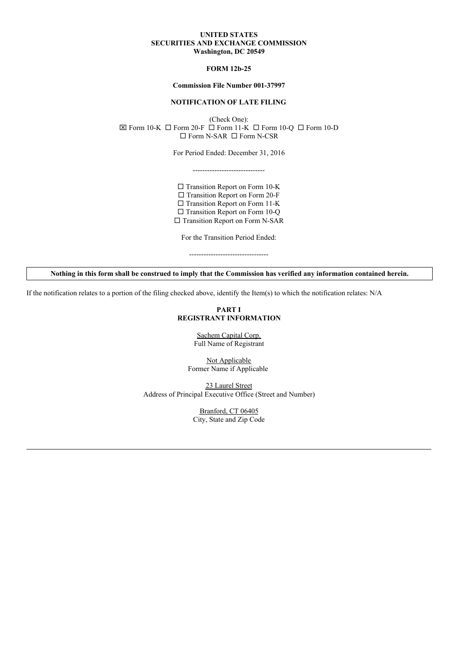### **UNITED STATES SECURITIES AND EXCHANGE COMMISSION Washington, DC 20549**

# **FORM 12b-25**

#### **Commission File Number 001-37997**

### **NOTIFICATION OF LATE FILING**

(Check One):  $\boxtimes$  Form 10-K  $\Box$  Form 20-F  $\Box$  Form 11-K  $\Box$  Form 10-Q  $\Box$  Form 10-D  $\square$  Form N-SAR  $\square$  Form N-CSR

For Period Ended: December 31, 2016

------------------------------

 $\square$  Transition Report on Form 10-K  $\square$  Transition Report on Form 20-F  $\square$  Transition Report on Form 11-K □ Transition Report on Form 10-Q  $\square$  Transition Report on Form N-SAR

For the Transition Period Ended: ---------------------------------

Nothing in this form shall be construed to imply that the Commission has verified any information contained herein.

If the notification relates to a portion of the filing checked above, identify the Item(s) to which the notification relates: N/A

# **PART I REGISTRANT INFORMATION**

Sachem Capital Corp. Full Name of Registrant

Not Applicable Former Name if Applicable

23 Laurel Street Address of Principal Executive Office (Street and Number)

> Branford, CT 06405 City, State and Zip Code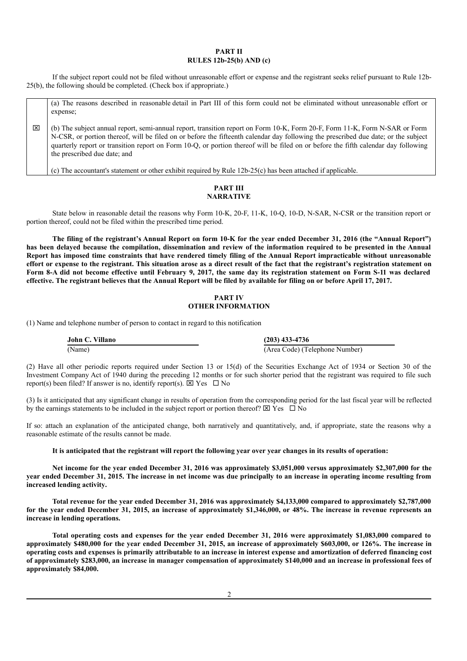### **PART II RULES 12b-25(b) AND (c)**

If the subject report could not be filed without unreasonable effort or expense and the registrant seeks relief pursuant to Rule 12b-25(b), the following should be completed. (Check box if appropriate.)

(a) The reasons described in reasonable detail in Part III of this form could not be eliminated without unreasonable effort or expense;

x (b) The subject annual report, semi-annual report, transition report on Form 10-K, Form 20-F, Form 11-K, Form N-SAR or Form N-CSR, or portion thereof, will be filed on or before the fifteenth calendar day following the prescribed due date; or the subject quarterly report or transition report on Form 10-Q, or portion thereof will be filed on or before the fifth calendar day following the prescribed due date; and

(c) The accountant's statement or other exhibit required by Rule  $12b-25(c)$  has been attached if applicable.

# **PART III NARRATIVE**

State below in reasonable detail the reasons why Form 10-K, 20-F, 11-K, 10-Q, 10-D, N-SAR, N-CSR or the transition report or portion thereof, could not be filed within the prescribed time period.

The filing of the registrant's Annual Report on form 10-K for the year ended December 31, 2016 (the "Annual Report") has been delayed because the compilation, dissemination and review of the information required to be presented in the Annual Report has imposed time constraints that have rendered timely filing of the Annual Report impracticable without unreasonable effort or expense to the registrant. This situation arose as a direct result of the fact that the registrant's registration statement on Form 8-A did not become effective until February 9, 2017, the same day its registration statement on Form S-11 was declared effective. The registrant believes that the Annual Report will be filed by available for filing on or before April 17, 2017.

# **PART IV OTHER INFORMATION**

(1) Name and telephone number of person to contact in regard to this notification

**John C. Villano (203) 433-4736** (Name) (Area Code) (Telephone Number)

(2) Have all other periodic reports required under Section 13 or 15(d) of the Securities Exchange Act of 1934 or Section 30 of the Investment Company Act of 1940 during the preceding 12 months or for such shorter period that the registrant was required to file such report(s) been filed? If answer is no, identify report(s).  $\overline{\boxtimes}$  Yes  $\Box$  No

(3) Is it anticipated that any significant change in results of operation from the corresponding period for the last fiscal year will be reflected by the earnings statements to be included in the subject report or portion thereof?  $\boxtimes$  Yes  $\Box$  No

If so: attach an explanation of the anticipated change, both narratively and quantitatively, and, if appropriate, state the reasons why a reasonable estimate of the results cannot be made.

It is anticipated that the registrant will report the following year over year changes in its results of operation:

Net income for the year ended December 31, 2016 was approximately \$3,051,000 versus approximately \$2,307,000 for the year ended December 31, 2015. The increase in net income was due principally to an increase in operating income resulting from **increased lending activity.**

Total revenue for the year ended December 31, 2016 was approximately \$4,133,000 compared to approximately \$2,787,000 for the year ended December 31, 2015, an increase of approximately \$1,346,000, or 48%. The increase in revenue represents an **increase in lending operations.**

Total operating costs and expenses for the year ended December 31, 2016 were approximately \$1,083,000 compared to approximately \$480,000 for the year ended December 31, 2015, an increase of approximately \$603,000, or 126%. The increase in operating costs and expenses is primarily attributable to an increase in interest expense and amortization of deferred financing cost of approximately \$283,000, an increase in manager compensation of approximately \$140,000 and an increase in professional fees of **approximately \$84,000.**